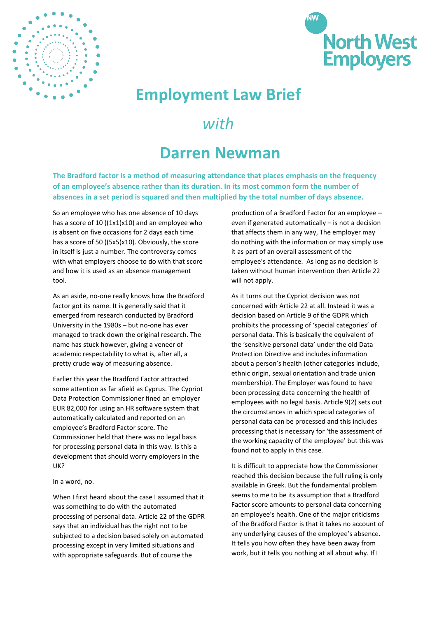



## **Employment Law Brief**

## *with*

## **Darren Newman**

**The Bradford factor is a method of measuring attendance that places emphasis on the frequency of an employee's absence rather than its duration. In its most common form the number of absences in a set period is squared and then multiplied by the total number of days absence.** 

So an employee who has one absence of 10 days has a score of 10 ( $(1x1)x10$ ) and an employee who is absent on five occasions for 2 days each time has a score of 50 ((5x5)x10). Obviously, the score in itself is just a number. The controversy comes with what employers choose to do with that score and how it is used as an absence management tool.

As an aside, no-one really knows how the Bradford factor got its name. It is generally said that it emerged from research conducted by Bradford University in the 1980s – but no-one has ever managed to track down the original research. The name has stuck however, giving a veneer of academic respectability to what is, after all, a pretty crude way of measuring absence.

Earlier this year the Bradford Factor attracted some attention as far afield as Cyprus. The Cypriot Data Protection Commissioner fined an employer EUR 82,000 for using an HR software system that automatically calculated and reported on an employee's Bradford Factor score. The Commissioner held that there was no legal basis for processing personal data in this way. Is this a development that should worry employers in the UK?

In a word, no.

When I first heard about the case I assumed that it was something to do with the automated processing of personal data. Article 22 of the GDPR says that an individual has the right not to be subjected to a decision based solely on automated processing except in very limited situations and with appropriate safeguards. But of course the

production of a Bradford Factor for an employee – even if generated automatically – is not a decision that affects them in any way, The employer may do nothing with the information or may simply use it as part of an overall assessment of the employee's attendance. As long as no decision is taken without human intervention then Article 22 will not apply.

As it turns out the Cypriot decision was not concerned with Article 22 at all. Instead it was a decision based on Article 9 of the GDPR which prohibits the processing of 'special categories' of personal data. This is basically the equivalent of the 'sensitive personal data' under the old Data Protection Directive and includes information about a person's health (other categories include, ethnic origin, sexual orientation and trade union membership). The Employer was found to have been processing data concerning the health of employees with no legal basis. Article 9(2) sets out the circumstances in which special categories of personal data can be processed and this includes processing that is necessary for 'the assessment of the working capacity of the employee' but this was found not to apply in this case.

It is difficult to appreciate how the Commissioner reached this decision because the full ruling is only available in Greek. But the fundamental problem seems to me to be its assumption that a Bradford Factor score amounts to personal data concerning an employee's health. One of the major criticisms of the Bradford Factor is that it takes no account of any underlying causes of the employee's absence. It tells you how often they have been away from work, but it tells you nothing at all about why. If I